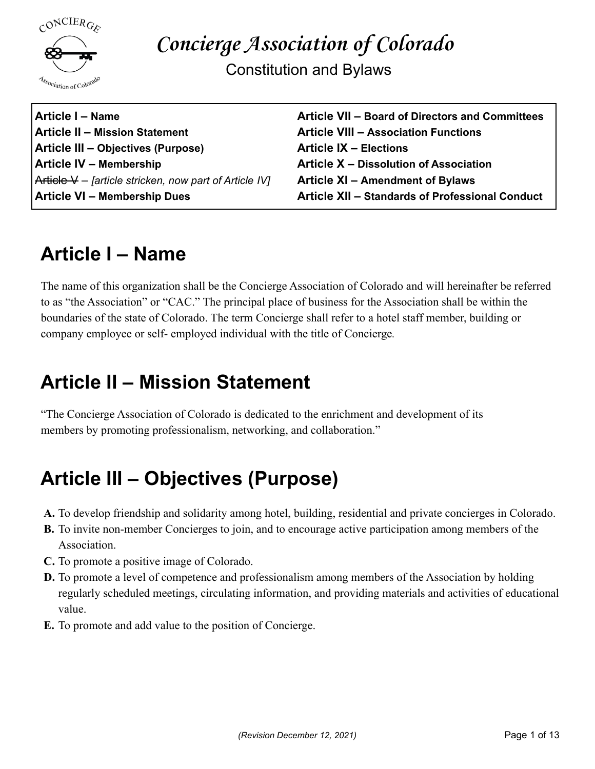

Constitution and Bylaws

**Article I – Name Article II – Mission Statement Article III – Objectives (Purpose) Article IV – Membership** Article V – *[article stricken, now part of Article IV]* **Article VI – Membership Dues**

**Article VII – Board of Directors and Committees Article VIII – Association Functions Article IX – Elections Article X – Dissolution of Association Article XI – Amendment of Bylaws Article XII – Standards of Professional Conduct**

### **Article I – Name**

The name of this organization shall be the Concierge Association of Colorado and will hereinafter be referred to as "the Association" or "CAC." The principal place of business for the Association shall be within the boundaries of the state of Colorado. The term Concierge shall refer to a hotel staff member, building or company employee or self- employed individual with the title of Concierge*.*

### **Article II – Mission Statement**

"The Concierge Association of Colorado is dedicated to the enrichment and development of its members by promoting professionalism, networking, and collaboration."

### **Article III – Objectives (Purpose)**

- **A.** To develop friendship and solidarity among hotel, building, residential and private concierges in Colorado.
- **B.** To invite non-member Concierges to join, and to encourage active participation among members of the Association.
- **C.** To promote a positive image of Colorado.
- **D.** To promote a level of competence and professionalism among members of the Association by holding regularly scheduled meetings, circulating information, and providing materials and activities of educational value.
- **E.** To promote and add value to the position of Concierge.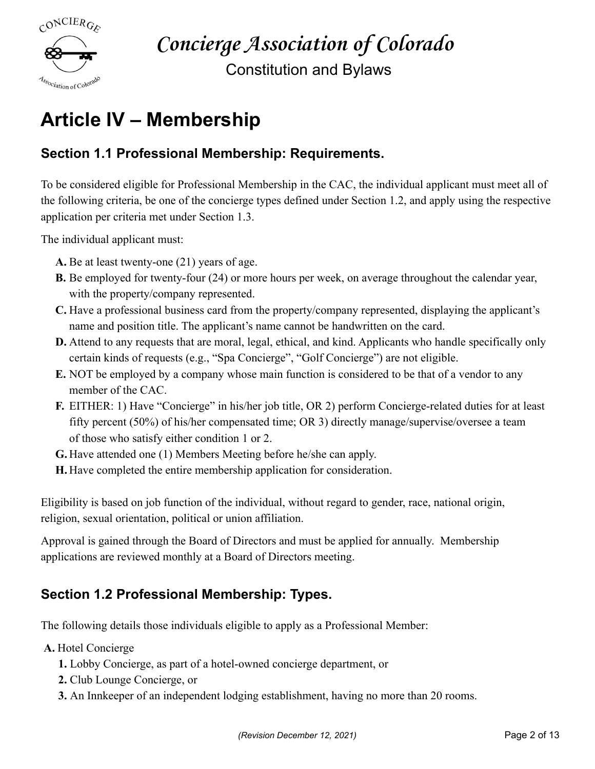

Constitution and Bylaws

### **Article IV – Membership**

#### **Section 1.1 Professional Membership: Requirements.**

To be considered eligible for Professional Membership in the CAC, the individual applicant must meet all of the following criteria, be one of the concierge types defined under Section 1.2, and apply using the respective application per criteria met under Section 1.3.

The individual applicant must:

- **A.** Be at least twenty-one (21) years of age.
- **B.** Be employed for twenty-four (24) or more hours per week, on average throughout the calendar year, with the property/company represented.
- **C.** Have a professional business card from the property/company represented, displaying the applicant's name and position title. The applicant's name cannot be handwritten on the card.
- **D.** Attend to any requests that are moral, legal, ethical, and kind. Applicants who handle specifically only certain kinds of requests (e.g., "Spa Concierge", "Golf Concierge") are not eligible.
- **E.** NOT be employed by a company whose main function is considered to be that of a vendor to any member of the CAC.
- **F.** EITHER: 1) Have "Concierge" in his/her job title, OR 2) perform Concierge-related duties for at least fifty percent (50%) of his/her compensated time; OR 3) directly manage/supervise/oversee a team of those who satisfy either condition 1 or 2.
- **G.** Have attended one (1) Members Meeting before he/she can apply.
- **H.** Have completed the entire membership application for consideration.

Eligibility is based on job function of the individual, without regard to gender, race, national origin, religion, sexual orientation, political or union affiliation.

Approval is gained through the Board of Directors and must be applied for annually. Membership applications are reviewed monthly at a Board of Directors meeting.

#### **Section 1.2 Professional Membership: Types.**

The following details those individuals eligible to apply as a Professional Member:

**A.** Hotel Concierge

- **1.** Lobby Concierge, as part of a hotel-owned concierge department, or
- **2.** Club Lounge Concierge, or
- **3.** An Innkeeper of an independent lodging establishment, having no more than 20 rooms.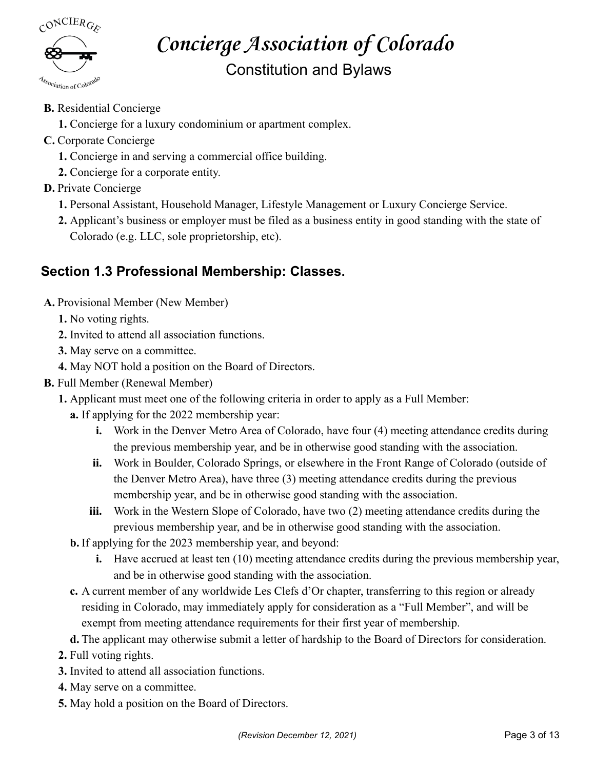

Constitution and Bylaws

- **B.** Residential Concierge
	- **1.** Concierge for a luxury condominium or apartment complex.
- **C.** Corporate Concierge
	- **1.** Concierge in and serving a commercial office building.
	- **2.** Concierge for a corporate entity.
- **D.** Private Concierge
	- **1.** Personal Assistant, Household Manager, Lifestyle Management or Luxury Concierge Service.
	- **2.** Applicant's business or employer must be filed as a business entity in good standing with the state of Colorado (e.g. LLC, sole proprietorship, etc).

#### **Section 1.3 Professional Membership: Classes.**

- **A.** Provisional Member (New Member)
	- **1.** No voting rights.
	- **2.** Invited to attend all association functions.
	- **3.** May serve on a committee.
	- **4.** May NOT hold a position on the Board of Directors.
- **B.** Full Member (Renewal Member)
	- **1.** Applicant must meet one of the following criteria in order to apply as a Full Member:
		- **a.** If applying for the 2022 membership year:
			- **i.** Work in the Denver Metro Area of Colorado, have four (4) meeting attendance credits during the previous membership year, and be in otherwise good standing with the association.
			- **ii.** Work in Boulder, Colorado Springs, or elsewhere in the Front Range of Colorado (outside of the Denver Metro Area), have three (3) meeting attendance credits during the previous membership year, and be in otherwise good standing with the association.
			- **iii.** Work in the Western Slope of Colorado, have two (2) meeting attendance credits during the previous membership year, and be in otherwise good standing with the association.
		- **b.** If applying for the 2023 membership year, and beyond:
			- **i.** Have accrued at least ten (10) meeting attendance credits during the previous membership year, and be in otherwise good standing with the association.
		- **c.** A current member of any worldwide Les Clefs d'Or chapter, transferring to this region or already residing in Colorado, may immediately apply for consideration as a "Full Member", and will be exempt from meeting attendance requirements for their first year of membership.
		- **d.** The applicant may otherwise submit a letter of hardship to the Board of Directors for consideration.
	- **2.** Full voting rights.
	- **3.** Invited to attend all association functions.
	- **4.** May serve on a committee.
	- **5.** May hold a position on the Board of Directors.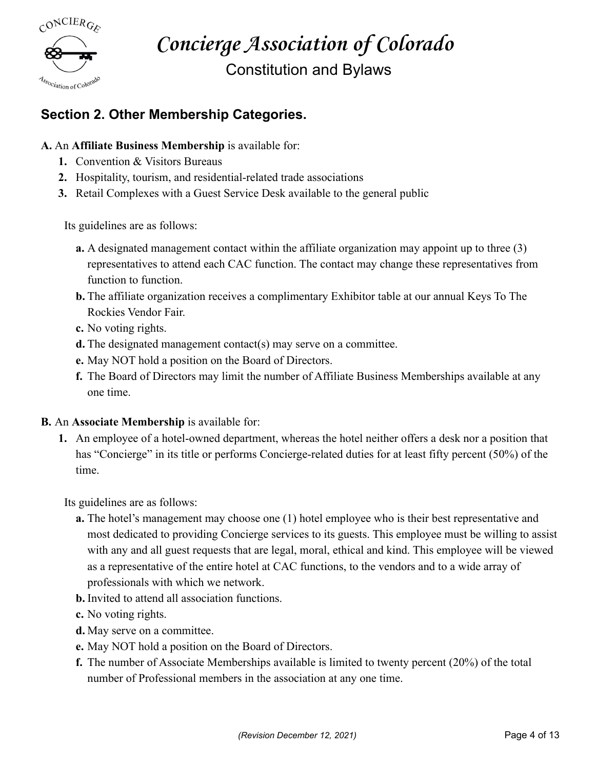

Constitution and Bylaws

#### **Section 2. Other Membership Categories.**

#### **A.** An **Affiliate Business Membership** is available for:

- **1.** Convention & Visitors Bureaus
- **2.** Hospitality, tourism, and residential-related trade associations
- **3.** Retail Complexes with a Guest Service Desk available to the general public

Its guidelines are as follows:

- **a.** A designated management contact within the affiliate organization may appoint up to three (3) representatives to attend each CAC function. The contact may change these representatives from function to function.
- **b.** The affiliate organization receives a complimentary Exhibitor table at our annual Keys To The Rockies Vendor Fair.
- **c.** No voting rights.
- **d.** The designated management contact(s) may serve on a committee.
- **e.** May NOT hold a position on the Board of Directors.
- **f.** The Board of Directors may limit the number of Affiliate Business Memberships available at any one time.

#### **B.** An **Associate Membership** is available for:

**1.** An employee of a hotel-owned department, whereas the hotel neither offers a desk nor a position that has "Concierge" in its title or performs Concierge-related duties for at least fifty percent (50%) of the time.

Its guidelines are as follows:

- **a.** The hotel's management may choose one (1) hotel employee who is their best representative and most dedicated to providing Concierge services to its guests. This employee must be willing to assist with any and all guest requests that are legal, moral, ethical and kind. This employee will be viewed as a representative of the entire hotel at CAC functions, to the vendors and to a wide array of professionals with which we network.
- **b.** Invited to attend all association functions.
- **c.** No voting rights.
- **d.** May serve on a committee.
- **e.** May NOT hold a position on the Board of Directors.
- **f.** The number of Associate Memberships available is limited to twenty percent (20%) of the total number of Professional members in the association at any one time.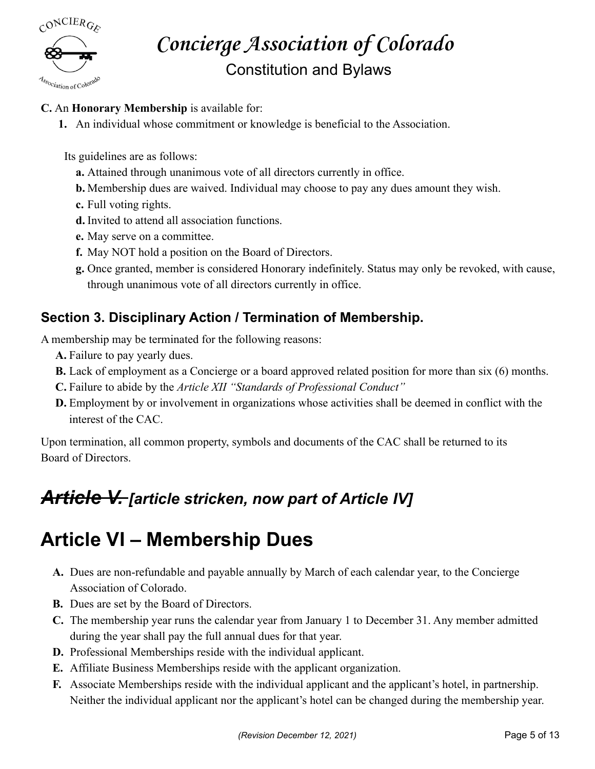

### **Concierge Association of Colorado** Constitution and Bylaws

#### **C.** An **Honorary Membership** is available for:

**1.** An individual whose commitment or knowledge is beneficial to the Association.

Its guidelines are as follows:

- **a.** Attained through unanimous vote of all directors currently in office.
- **b.** Membership dues are waived. Individual may choose to pay any dues amount they wish.
- **c.** Full voting rights.
- **d.** Invited to attend all association functions.
- **e.** May serve on a committee.
- **f.** May NOT hold a position on the Board of Directors.
- **g.** Once granted, member is considered Honorary indefinitely. Status may only be revoked, with cause, through unanimous vote of all directors currently in office.

#### **Section 3. Disciplinary Action / Termination of Membership.**

A membership may be terminated for the following reasons:

- **A.** Failure to pay yearly dues.
- **B.** Lack of employment as a Concierge or a board approved related position for more than six (6) months.
- **C.** Failure to abide by the *Article XII "Standards of Professional Conduct"*
- **D.** Employment by or involvement in organizations whose activities shall be deemed in conflict with the interest of the CAC.

Upon termination, all common property, symbols and documents of the CAC shall be returned to its Board of Directors.

### *Article V. [article stricken, now part of Article IV]*

### **Article VI – Membership Dues**

- **A.** Dues are non-refundable and payable annually by March of each calendar year, to the Concierge Association of Colorado.
- **B.** Dues are set by the Board of Directors.
- **C.** The membership year runs the calendar year from January 1 to December 31. Any member admitted during the year shall pay the full annual dues for that year.
- **D.** Professional Memberships reside with the individual applicant.
- **E.** Affiliate Business Memberships reside with the applicant organization.
- **F.** Associate Memberships reside with the individual applicant and the applicant's hotel, in partnership. Neither the individual applicant nor the applicant's hotel can be changed during the membership year.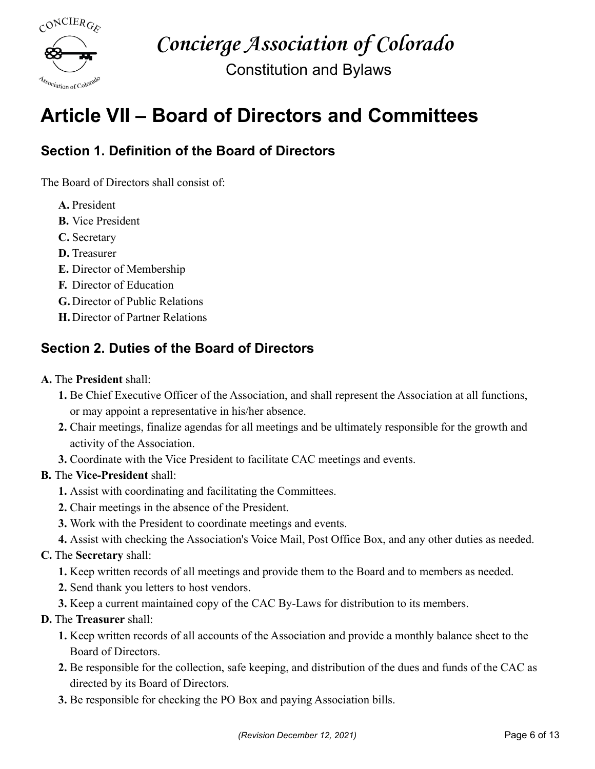

Constitution and Bylaws

### **Article VII – Board of Directors and Committees**

#### **Section 1. Definition of the Board of Directors**

The Board of Directors shall consist of:

- **A.** President
- **B.** Vice President
- **C.** Secretary
- **D.** Treasurer
- **E.** Director of Membership
- **F.** Director of Education
- **G.** Director of Public Relations
- **H.** Director of Partner Relations

#### **Section 2. Duties of the Board of Directors**

#### **A.** The **President** shall:

- **1.** Be Chief Executive Officer of the Association, and shall represent the Association at all functions, or may appoint a representative in his/her absence.
- **2.** Chair meetings, finalize agendas for all meetings and be ultimately responsible for the growth and activity of the Association.
- **3.** Coordinate with the Vice President to facilitate CAC meetings and events.

#### **B.** The **Vice-President** shall:

- **1.** Assist with coordinating and facilitating the Committees.
- **2.** Chair meetings in the absence of the President.
- **3.** Work with the President to coordinate meetings and events.
- **4.** Assist with checking the Association's Voice Mail, Post Office Box, and any other duties as needed.

#### **C.** The **Secretary** shall:

- **1.** Keep written records of all meetings and provide them to the Board and to members as needed.
- **2.** Send thank you letters to host vendors.
- **3.** Keep a current maintained copy of the CAC By-Laws for distribution to its members.

#### **D.** The **Treasurer** shall:

- **1.** Keep written records of all accounts of the Association and provide a monthly balance sheet to the Board of Directors.
- **2.** Be responsible for the collection, safe keeping, and distribution of the dues and funds of the CAC as directed by its Board of Directors.
- **3.** Be responsible for checking the PO Box and paying Association bills.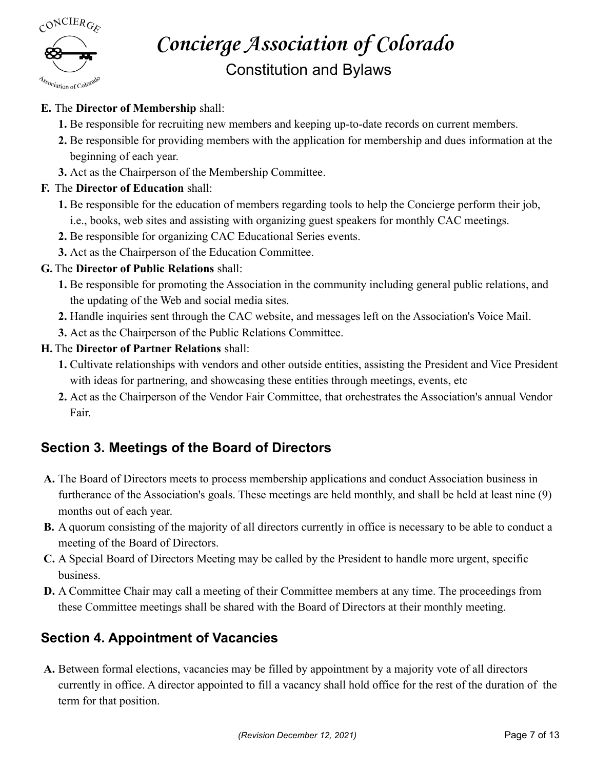$C^{ONCIER}$ Association of Colorado

#### Constitution and Bylaws

#### **E.** The **Director of Membership** shall:

- **1.** Be responsible for recruiting new members and keeping up-to-date records on current members.
- **2.** Be responsible for providing members with the application for membership and dues information at the beginning of each year.
- **3.** Act as the Chairperson of the Membership Committee.

#### **F.** The **Director of Education** shall:

- **1.** Be responsible for the education of members regarding tools to help the Concierge perform their job, i.e., books, web sites and assisting with organizing guest speakers for monthly CAC meetings.
- **2.** Be responsible for organizing CAC Educational Series events.
- **3.** Act as the Chairperson of the Education Committee.

#### **G.** The **Director of Public Relations** shall:

- **1.** Be responsible for promoting the Association in the community including general public relations, and the updating of the Web and social media sites.
- **2.** Handle inquiries sent through the CAC website, and messages left on the Association's Voice Mail.
- **3.** Act as the Chairperson of the Public Relations Committee.

#### **H.** The **Director of Partner Relations** shall:

- **1.** Cultivate relationships with vendors and other outside entities, assisting the President and Vice President with ideas for partnering, and showcasing these entities through meetings, events, etc.
- **2.** Act as the Chairperson of the Vendor Fair Committee, that orchestrates the Association's annual Vendor Fair.

#### **Section 3. Meetings of the Board of Directors**

- **A.** The Board of Directors meets to process membership applications and conduct Association business in furtherance of the Association's goals. These meetings are held monthly, and shall be held at least nine (9) months out of each year.
- **B.** A quorum consisting of the majority of all directors currently in office is necessary to be able to conduct a meeting of the Board of Directors.
- **C.** A Special Board of Directors Meeting may be called by the President to handle more urgent, specific business.
- **D.** A Committee Chair may call a meeting of their Committee members at any time. The proceedings from these Committee meetings shall be shared with the Board of Directors at their monthly meeting.

#### **Section 4. Appointment of Vacancies**

**A.** Between formal elections, vacancies may be filled by appointment by a majority vote of all directors currently in office. A director appointed to fill a vacancy shall hold office for the rest of the duration of the term for that position.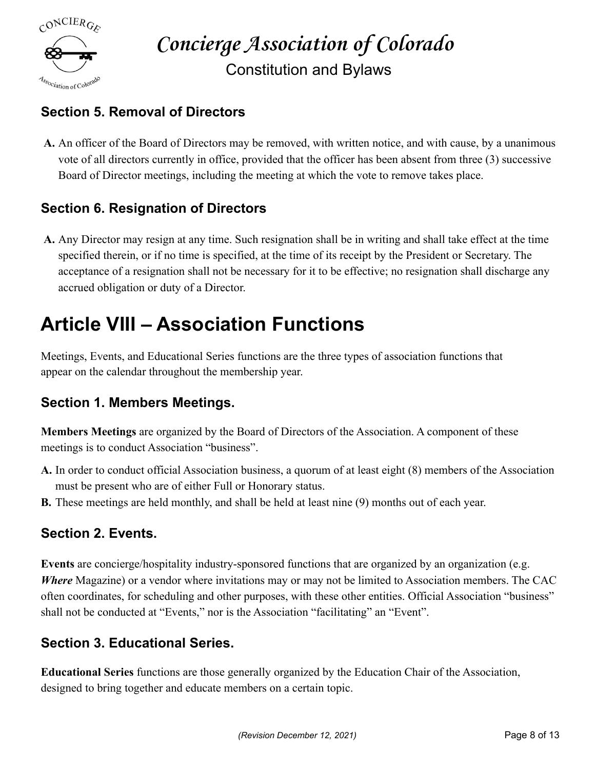

### **Concierge Association of Colorado** Constitution and Bylaws

#### **Section 5. Removal of Directors**

**A.** An officer of the Board of Directors may be removed, with written notice, and with cause, by a unanimous vote of all directors currently in office, provided that the officer has been absent from three (3) successive Board of Director meetings, including the meeting at which the vote to remove takes place.

#### **Section 6. Resignation of Directors**

**A.** Any Director may resign at any time. Such resignation shall be in writing and shall take effect at the time specified therein, or if no time is specified, at the time of its receipt by the President or Secretary. The acceptance of a resignation shall not be necessary for it to be effective; no resignation shall discharge any accrued obligation or duty of a Director.

### **Article VIII – Association Functions**

Meetings, Events, and Educational Series functions are the three types of association functions that appear on the calendar throughout the membership year.

#### **Section 1. Members Meetings.**

**Members Meetings** are organized by the Board of Directors of the Association. A component of these meetings is to conduct Association "business".

- **A.** In order to conduct official Association business, a quorum of at least eight (8) members of the Association must be present who are of either Full or Honorary status.
- **B.** These meetings are held monthly, and shall be held at least nine (9) months out of each year.

#### **Section 2. Events.**

**Events** are concierge/hospitality industry-sponsored functions that are organized by an organization (e.g. *Where* Magazine) or a vendor where invitations may or may not be limited to Association members. The CAC often coordinates, for scheduling and other purposes, with these other entities. Official Association "business" shall not be conducted at "Events," nor is the Association "facilitating" an "Event".

#### **Section 3. Educational Series.**

**Educational Series** functions are those generally organized by the Education Chair of the Association, designed to bring together and educate members on a certain topic.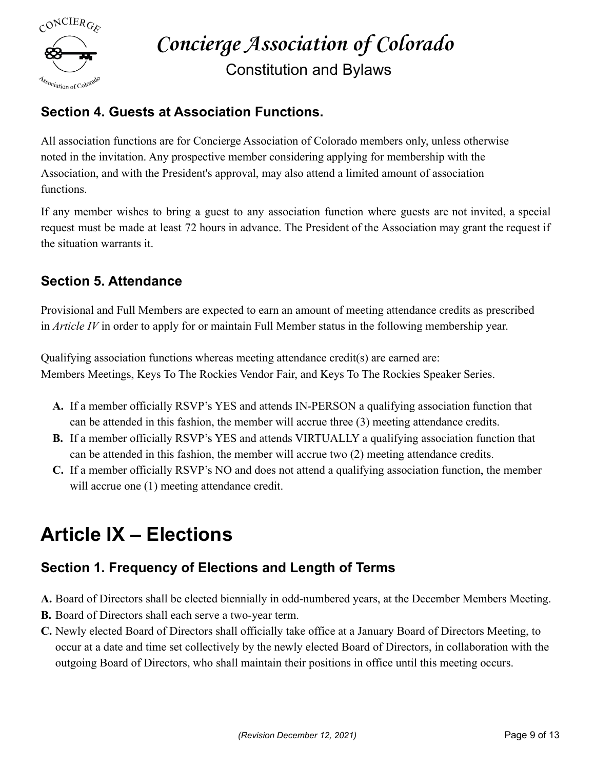

Constitution and Bylaws

#### **Section 4. Guests at Association Functions.**

All association functions are for Concierge Association of Colorado members only, unless otherwise noted in the invitation. Any prospective member considering applying for membership with the Association, and with the President's approval, may also attend a limited amount of association functions.

If any member wishes to bring a guest to any association function where guests are not invited, a special request must be made at least 72 hours in advance. The President of the Association may grant the request if the situation warrants it.

#### **Section 5. Attendance**

Provisional and Full Members are expected to earn an amount of meeting attendance credits as prescribed in *Article IV* in order to apply for or maintain Full Member status in the following membership year.

Qualifying association functions whereas meeting attendance credit(s) are earned are: Members Meetings, Keys To The Rockies Vendor Fair, and Keys To The Rockies Speaker Series.

- **A.** If a member officially RSVP's YES and attends IN-PERSON a qualifying association function that can be attended in this fashion, the member will accrue three (3) meeting attendance credits.
- **B.** If a member officially RSVP's YES and attends VIRTUALLY a qualifying association function that can be attended in this fashion, the member will accrue two (2) meeting attendance credits.
- **C.** If a member officially RSVP's NO and does not attend a qualifying association function, the member will accrue one  $(1)$  meeting attendance credit.

### **Article IX – Elections**

#### **Section 1. Frequency of Elections and Length of Terms**

- **A.** Board of Directors shall be elected biennially in odd-numbered years, at the December Members Meeting.
- **B.** Board of Directors shall each serve a two-year term.
- **C.** Newly elected Board of Directors shall officially take office at a January Board of Directors Meeting, to occur at a date and time set collectively by the newly elected Board of Directors, in collaboration with the outgoing Board of Directors, who shall maintain their positions in office until this meeting occurs.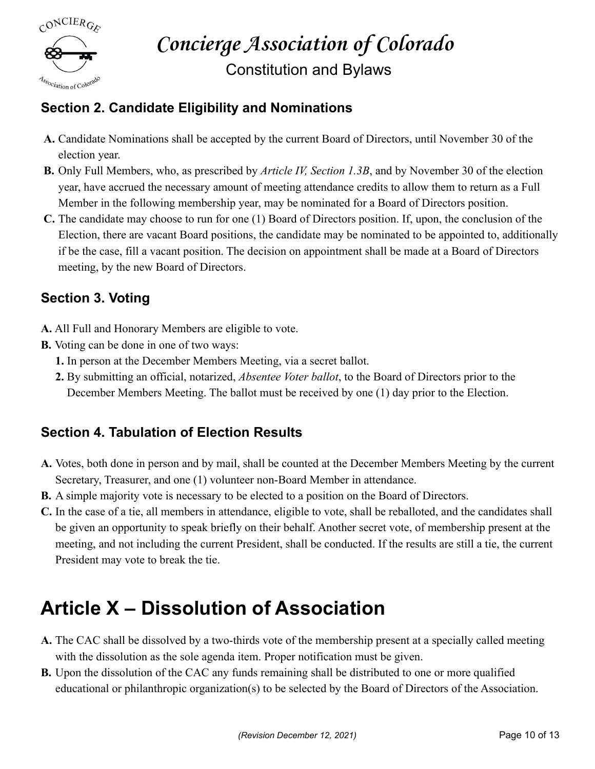

Constitution and Bylaws

#### **Section 2. Candidate Eligibility and Nominations**

- **A.** Candidate Nominations shall be accepted by the current Board of Directors, until November 30 of the election year.
- **B.** Only Full Members, who, as prescribed by *Article IV, Section 1.3B*, and by November 30 of the election year, have accrued the necessary amount of meeting attendance credits to allow them to return as a Full Member in the following membership year, may be nominated for a Board of Directors position.
- **C.** The candidate may choose to run for one (1) Board of Directors position. If, upon, the conclusion of the Election, there are vacant Board positions, the candidate may be nominated to be appointed to, additionally if be the case, fill a vacant position. The decision on appointment shall be made at a Board of Directors meeting, by the new Board of Directors.

#### **Section 3. Voting**

- **A.** All Full and Honorary Members are eligible to vote.
- **B.** Voting can be done in one of two ways:
	- **1.** In person at the December Members Meeting, via a secret ballot.
	- **2.** By submitting an official, notarized, *Absentee Voter ballot*, to the Board of Directors prior to the December Members Meeting. The ballot must be received by one (1) day prior to the Election.

#### **Section 4. Tabulation of Election Results**

- **A.** Votes, both done in person and by mail, shall be counted at the December Members Meeting by the current Secretary, Treasurer, and one (1) volunteer non-Board Member in attendance.
- **B.** A simple majority vote is necessary to be elected to a position on the Board of Directors.
- **C.** In the case of a tie, all members in attendance, eligible to vote, shall be reballoted, and the candidates shall be given an opportunity to speak briefly on their behalf. Another secret vote, of membership present at the meeting, and not including the current President, shall be conducted. If the results are still a tie, the current President may vote to break the tie.

### **Article X – Dissolution of Association**

- **A.** The CAC shall be dissolved by a two-thirds vote of the membership present at a specially called meeting with the dissolution as the sole agenda item. Proper notification must be given.
- **B.** Upon the dissolution of the CAC any funds remaining shall be distributed to one or more qualified educational or philanthropic organization(s) to be selected by the Board of Directors of the Association.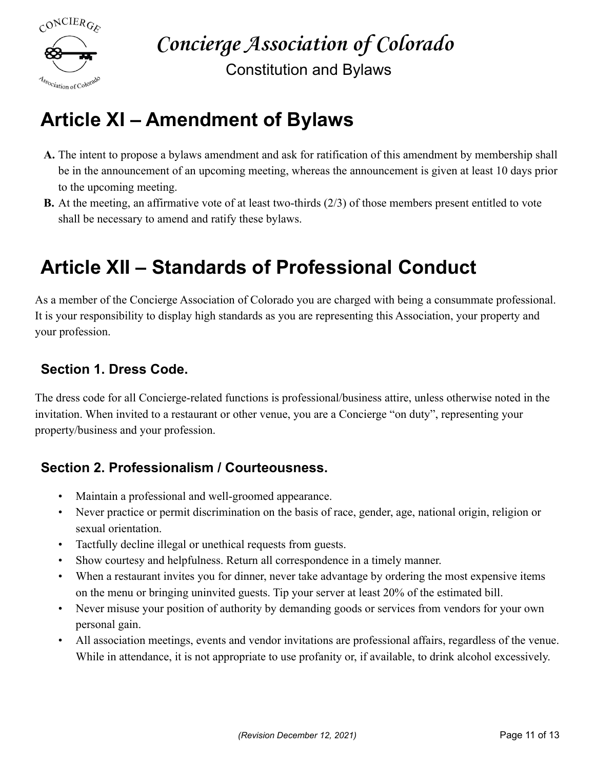

Constitution and Bylaws

### **Article XI – Amendment of Bylaws**

- **A.** The intent to propose a bylaws amendment and ask for ratification of this amendment by membership shall be in the announcement of an upcoming meeting, whereas the announcement is given at least 10 days prior to the upcoming meeting.
- **B.** At the meeting, an affirmative vote of at least two-thirds (2/3) of those members present entitled to vote shall be necessary to amend and ratify these bylaws.

### **Article XII – Standards of Professional Conduct**

As a member of the Concierge Association of Colorado you are charged with being a consummate professional. It is your responsibility to display high standards as you are representing this Association, your property and your profession.

#### **Section 1. Dress Code.**

The dress code for all Concierge-related functions is professional/business attire, unless otherwise noted in the invitation. When invited to a restaurant or other venue, you are a Concierge "on duty", representing your property/business and your profession.

#### **Section 2. Professionalism / Courteousness.**

- Maintain a professional and well-groomed appearance.
- Never practice or permit discrimination on the basis of race, gender, age, national origin, religion or sexual orientation.
- Tactfully decline illegal or unethical requests from guests.
- Show courtesy and helpfulness. Return all correspondence in a timely manner.
- When a restaurant invites you for dinner, never take advantage by ordering the most expensive items on the menu or bringing uninvited guests. Tip your server at least 20% of the estimated bill.
- Never misuse your position of authority by demanding goods or services from vendors for your own personal gain.
- All association meetings, events and vendor invitations are professional affairs, regardless of the venue. While in attendance, it is not appropriate to use profanity or, if available, to drink alcohol excessively.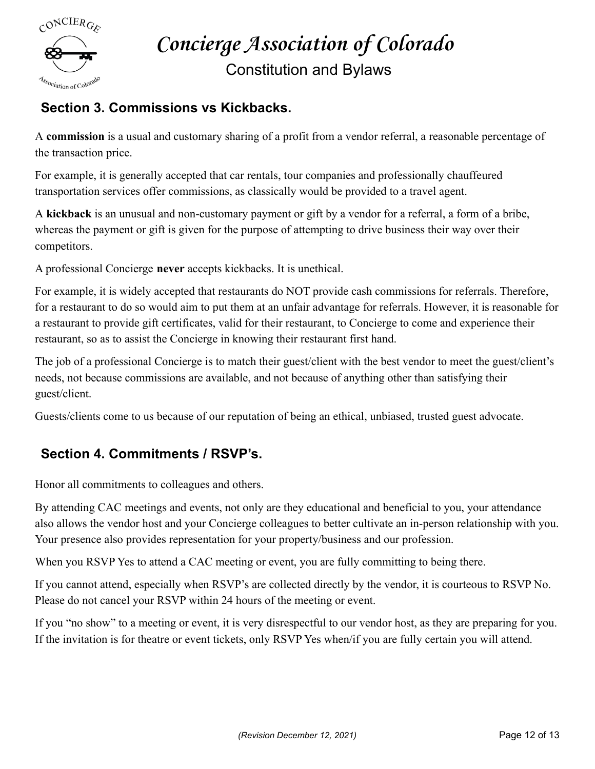

#### Constitution and Bylaws

#### **Section 3. Commissions vs Kickbacks.**

A **commission** is a usual and customary sharing of a profit from a vendor referral, a reasonable percentage of the transaction price.

For example, it is generally accepted that car rentals, tour companies and professionally chauffeured transportation services offer commissions, as classically would be provided to a travel agent.

A **kickback** is an unusual and non-customary payment or gift by a vendor for a referral, a form of a bribe, whereas the payment or gift is given for the purpose of attempting to drive business their way over their competitors.

A professional Concierge **never** accepts kickbacks. It is unethical.

For example, it is widely accepted that restaurants do NOT provide cash commissions for referrals. Therefore, for a restaurant to do so would aim to put them at an unfair advantage for referrals. However, it is reasonable for a restaurant to provide gift certificates, valid for their restaurant, to Concierge to come and experience their restaurant, so as to assist the Concierge in knowing their restaurant first hand.

The job of a professional Concierge is to match their guest/client with the best vendor to meet the guest/client's needs, not because commissions are available, and not because of anything other than satisfying their guest/client.

Guests/clients come to us because of our reputation of being an ethical, unbiased, trusted guest advocate.

#### **Section 4. Commitments / RSVP's.**

Honor all commitments to colleagues and others.

By attending CAC meetings and events, not only are they educational and beneficial to you, your attendance also allows the vendor host and your Concierge colleagues to better cultivate an in-person relationship with you. Your presence also provides representation for your property/business and our profession.

When you RSVP Yes to attend a CAC meeting or event, you are fully committing to being there.

If you cannot attend, especially when RSVP's are collected directly by the vendor, it is courteous to RSVP No. Please do not cancel your RSVP within 24 hours of the meeting or event.

If you "no show" to a meeting or event, it is very disrespectful to our vendor host, as they are preparing for you. If the invitation is for theatre or event tickets, only RSVP Yes when/if you are fully certain you will attend.